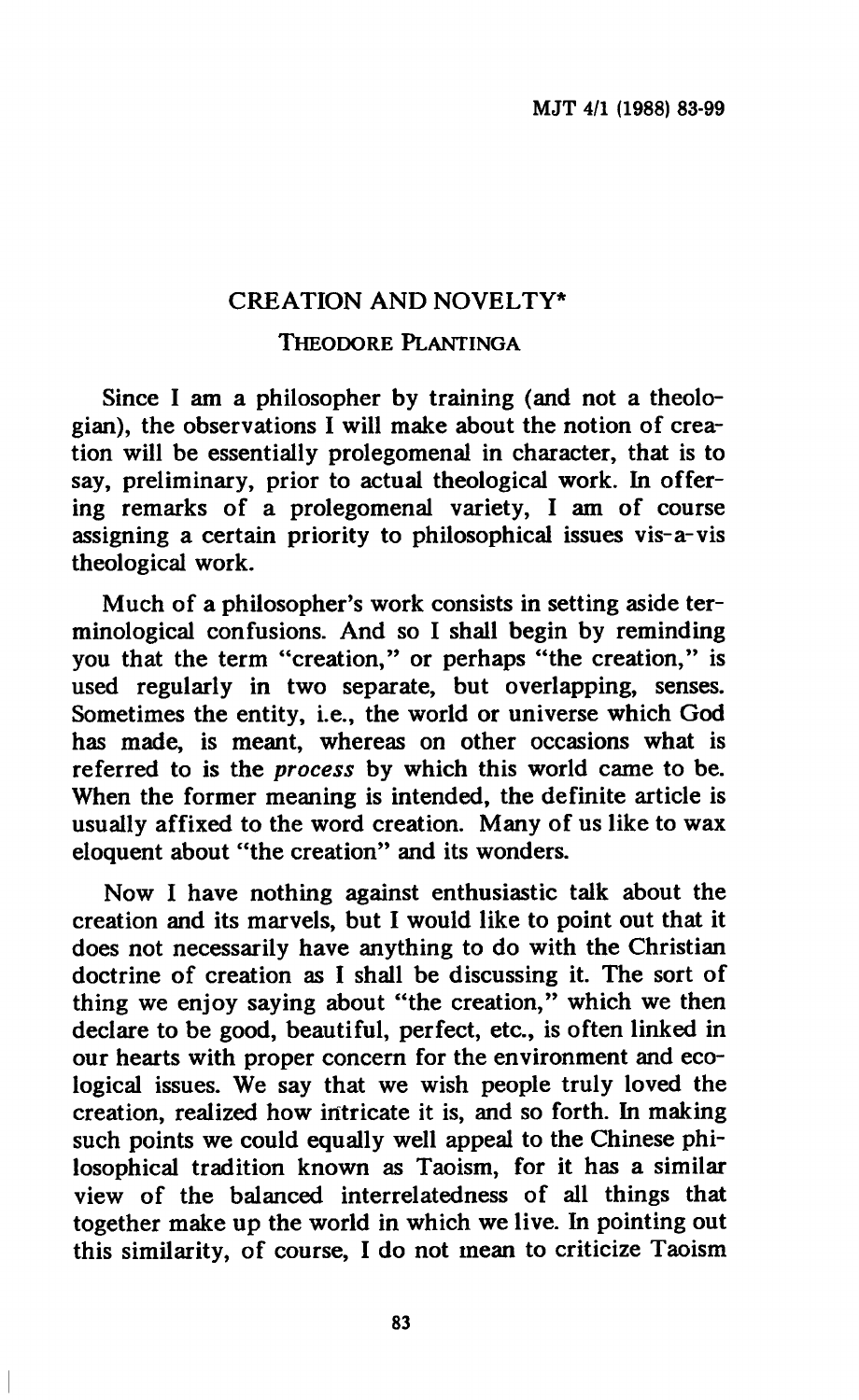# **CREATION AND NOVELTY\***

## **THEODORE PLANTINGA**

**Since I am a philosopher by training (and not a theologian), the observations I will make about the notion of creation will be essentially prolegomenal in character, that is to say, preliminary, prior to actual theological work. In offering remarks of a prolegomenal variety, I am of course assigning a certain priority to philosophical issues vis-a-vis theological work.** 

**Much of a philosopher's work consists in setting aside terminological confusions. And so I shall begin by reminding you that the term "creation," or perhaps "the creation," is used regularly in two separate, but overlapping, senses. Sometimes the entity, i.e., the world or universe which God has made, is meant, whereas on other occasions what is referred to is the** *process* **by which this world came to be. When the former meaning is intended, the definite article is usually affixed to the word creation. Many of us like to wax eloquent about "the creation" and its wonders.** 

**Now I have nothing against enthusiastic talk about the creation and its marvels, but I would like to point out that it does not necessarily have anything to do with the Christian doctrine of creation as I shall be discussing it. The sort of thing we enjoy saying about "the creation," which we then declare to be good, beautiful, perfect, etc., is often linked in our hearts with proper concern for the environment and ecological issues. We say that we wish people truly loved the creation, realized how intricate it is, and so forth. In making such points we could equally well appeal to the Chinese philosophical tradition known as Taoism, for it has a similar view of the balanced interrelatedness of all things that together make up the world in which we live. In pointing out this similarity, of course, I do not mean to criticize Taoism**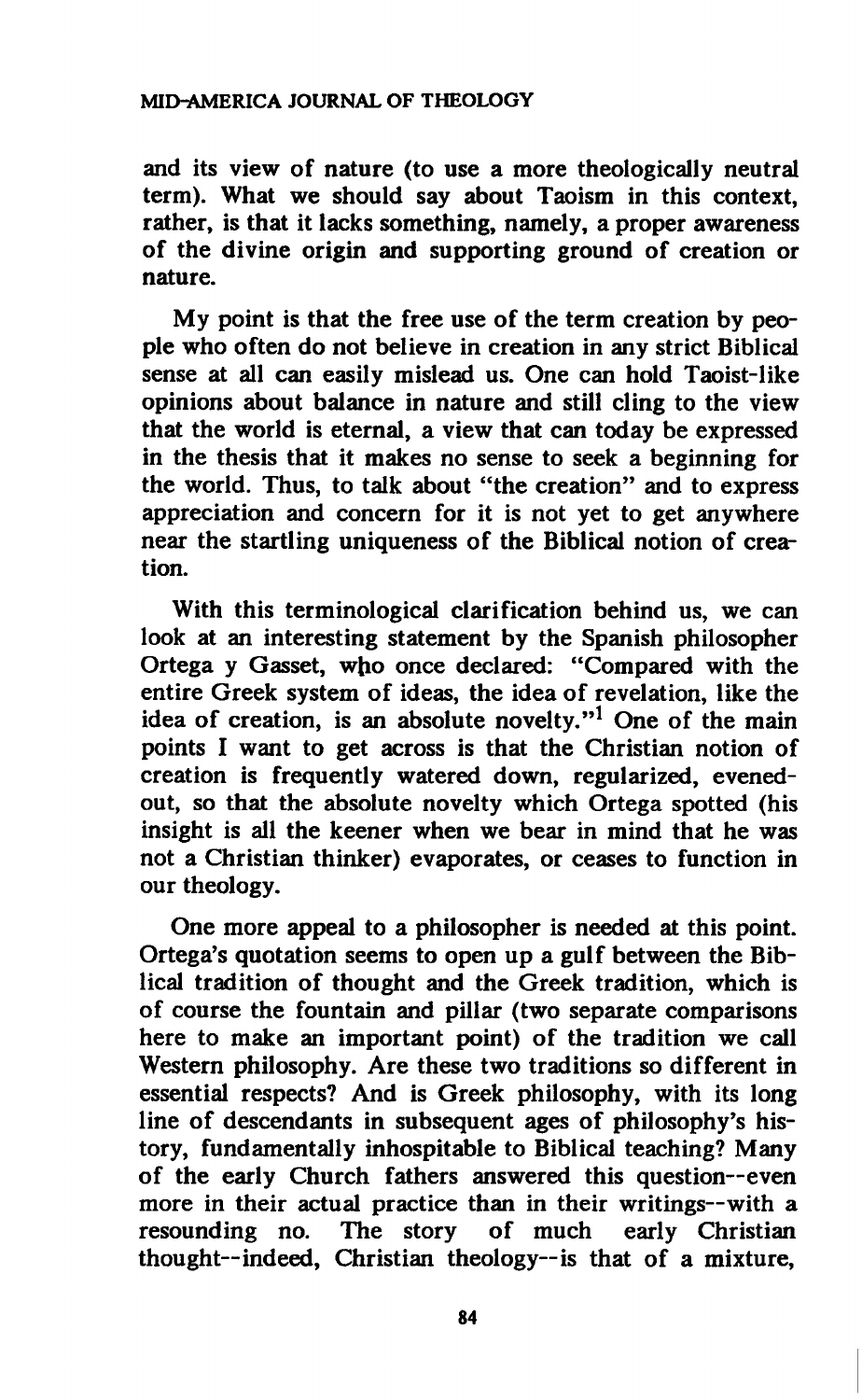**and its view of nature (to use a more theologically neutral term). What we should say about Taoism in this context, rather, is that it lacks something, namely, a proper awareness of the divine origin and supporting ground of creation or nature.** 

**My point is that the free use of the term creation by people who often do not believe in creation in any strict Biblical sense at all can easily mislead us. One can hold Taoist-like opinions about balance in nature and still cling to the view that the world is eternal, a view that can today be expressed in the thesis that it makes no sense to seek a beginning for the world. Thus, to talk about "the creation" and to express appreciation and concern for it is not yet to get anywhere near the startling uniqueness of the Biblical notion of creation.** 

**With this terminological clarification behind us, we can look at an interesting statement by the Spanish philosopher Ortega y Gasset, who once declared: "Compared with the entire Greek system of ideas, the idea of revelation, like the idea of creation, is an absolute novelty."<sup>1</sup> One of the main points I want to get across is that the Christian notion of creation is frequently watered down, regularized, evenedout, so that the absolute novelty which Ortega spotted (his insight is all the keener when we bear in mind that he was not a Christian thinker) evaporates, or ceases to function in our theology.** 

**One more appeal to a philosopher is needed at this point. Ortega's quotation seems to open up a gulf between the Biblical tradition of thought and the Greek tradition, which is of course the fountain and pillar (two separate comparisons here to make an important point) of the tradition we call Western philosophy. Are these two traditions so different in essential respects? And is Greek philosophy, with its long line of descendants in subsequent ages of philosophy's history, fundamentally inhospitable to Biblical teaching? Many of the early Church fathers answered this question—even more in their actual practice than in their writings—with a resounding no. The story of much early Christian thought—indeed, Christian theology—is that of a mixture,** 

**84**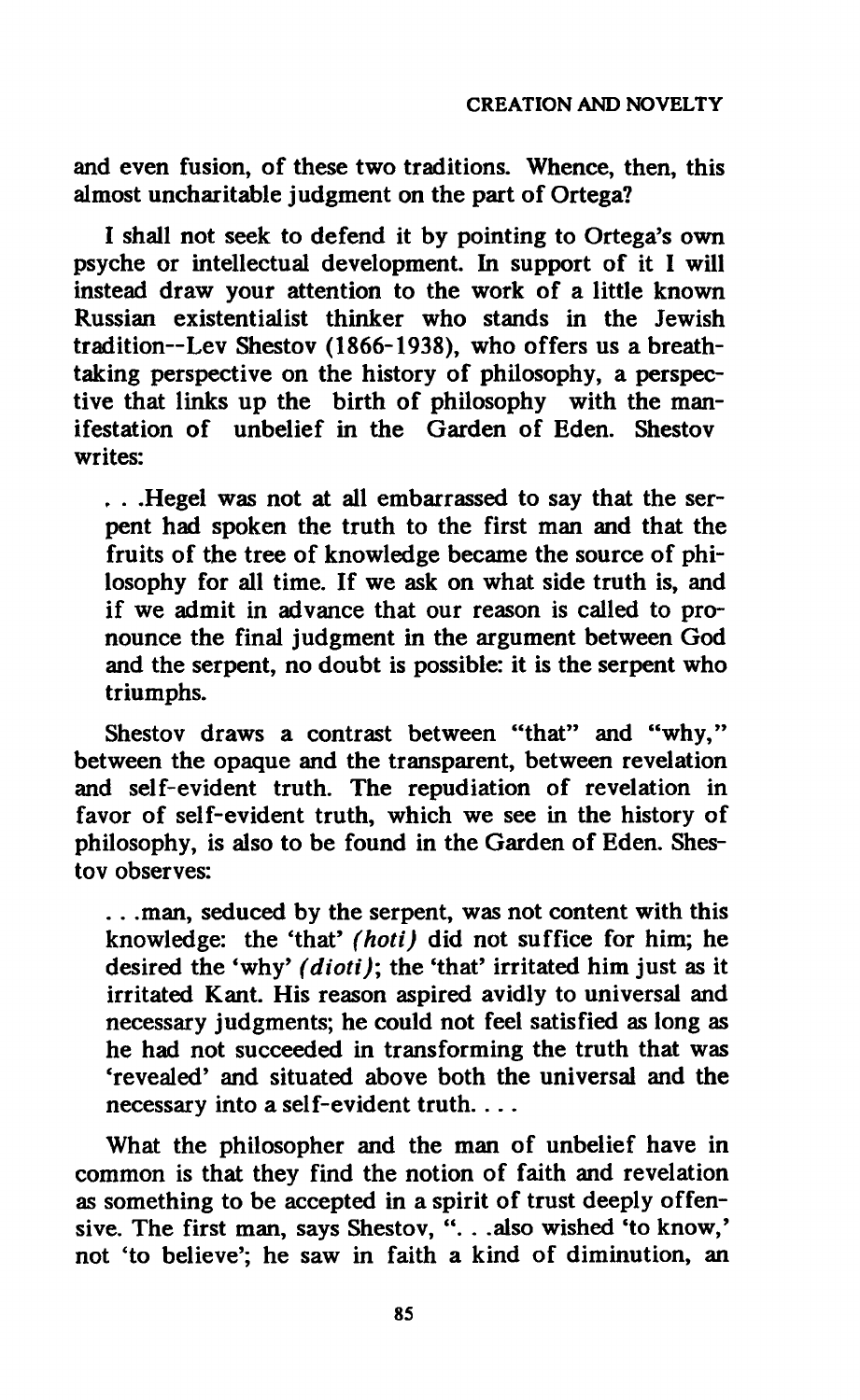**and even fusion, of these two traditions. Whence, then, this almost uncharitable judgment on the part of Ortega?** 

**I shall not seek to defend it by pointing to Ortega's own psyche or intellectual development. In support of it I will instead draw your attention to the work of a little known Russian existentialist thinker who stands in the Jewish tradition—Lev Shestov (1866-1938), who offers us a breathtaking perspective on the history of philosophy, a perspective that links up the birth of philosophy with the manifestation of unbelief in the Garden of Eden. Shestov writes:** 

**. . .Hegel was not at all embarrassed to say that the serpent had spoken the truth to the first man and that the fruits of the tree of knowledge became the source of philosophy for all time. If we ask on what side truth is, and if we admit in advance that our reason is called to pronounce the final judgment in the argument between God and the serpent, no doubt is possible: it is the serpent who triumphs.** 

**Shestov draws a contrast between "that" and "why," between the opaque and the transparent, between revelation and self-evident truth. The repudiation of revelation in favor of self-evident truth, which we see in the history of philosophy, is also to be found in the Garden of Eden. Shestov observes:** 

**. . .man, seduced by the serpent, was not content with this knowledge: the 'that'** *(hoti)* **did not suffice for him; he desired the 'why'** *(dioti);* **the 'that' irritated him just as it irritated Kant. His reason aspired avidly to universal and necessary judgments; he could not feel satisfied as long as he had not succeeded in transforming the truth that was 'revealed' and situated above both the universal and the necessary into a self-evident truth. . ..** 

**What the philosopher and the man of unbelief have in common is that they find the notion of faith and revelation as something to be accepted in a spirit of trust deeply offensive. The first man, says Shestov, ". . .also wished 'to know,'**  not 'to believe'; he saw in faith a kind of diminution, an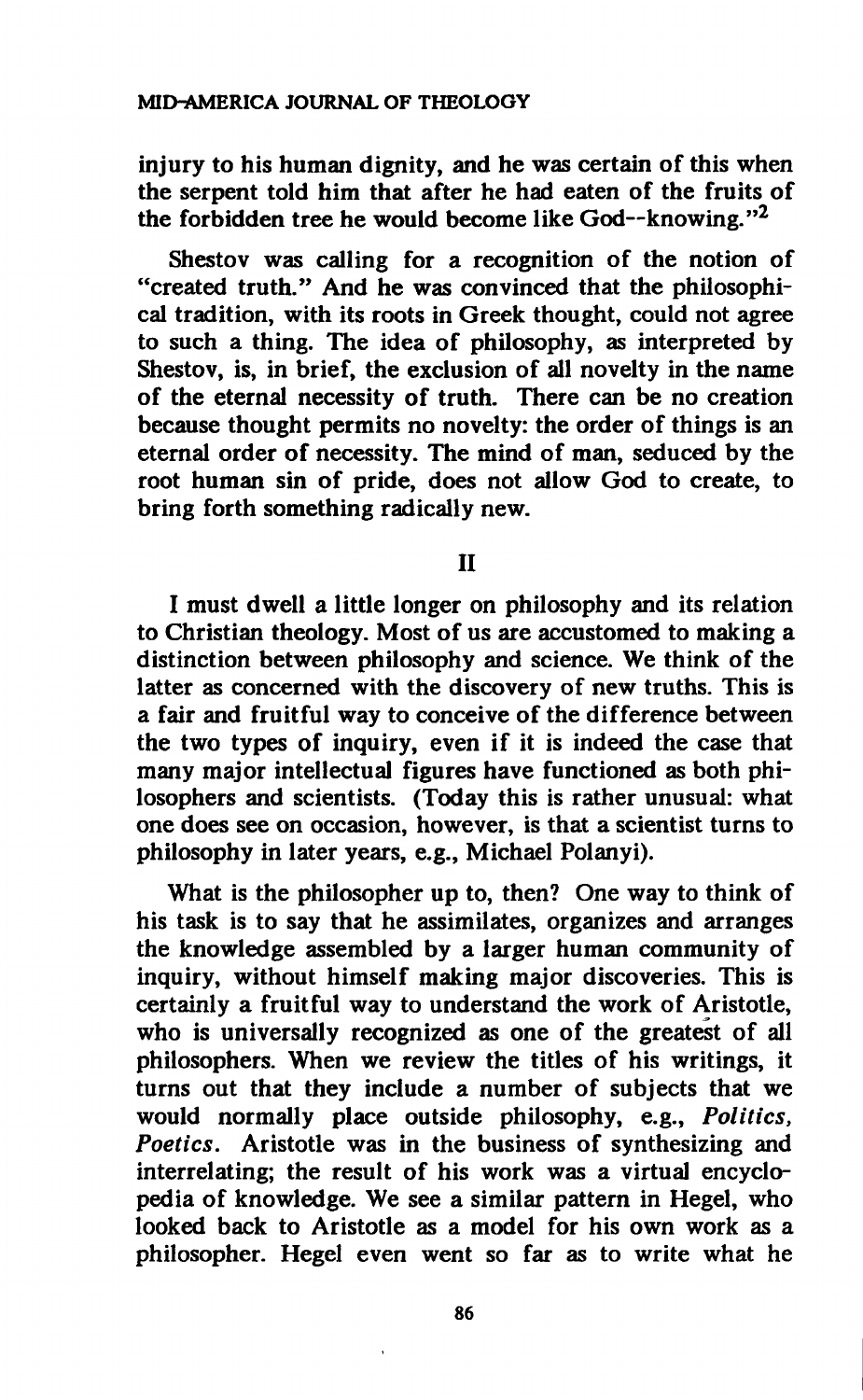**injury to his human dignity, and he was certain of this when the serpent told him that after he had eaten of the fruits of the forbidden tree he would become like God—knowing."<sup>2</sup>**

**Shestov was calling for a recognition of the notion of "created truth." And he was convinced that the philosophical tradition, with its roots in Greek thought, could not agree to such a thing. The idea of philosophy, as interpreted by Shestov, is, in brief, the exclusion of all novelty in the name of the eternal necessity of truth. There can be no creation because thought permits no novelty: the order of things is an eternal order of necessity. The mind of man, seduced by the root human sin of pride, does not allow God to create, to bring forth something radically new.** 

**II** 

**I must dwell a little longer on philosophy and its relation to Christian theology. Most of us are accustomed to making a distinction between philosophy and science. We think of the latter as concerned with the discovery of new truths. This is a fair and fruitful way to conceive of the difference between the two types of inquiry, even if it is indeed the case that many major intellectual figures have functioned as both philosophers and scientists. (Today this is rather unusual: what one does see on occasion, however, is that a scientist turns to philosophy in later years, e.g., Michael Polanyi).** 

**What is the philosopher up to, then? One way to think of his task is to say that he assimilates, organizes and arranges the knowledge assembled by a larger human community of inquiry, without himself making major discoveries. This is certainly a fruitful way to understand the work of Aristotle, who is universally recognized as one of the greatest of all philosophers. When we review the titles of his writings, it turns out that they include a number of subjects that we would normally place outside philosophy, e.g.,** *Politics, Poetics.* **Aristotle was in the business of synthesizing and interrelating; the result of his work was a virtual encyclopedia of knowledge. We see a similar pattern in Hegel, who looked back to Aristotle as a model for his own work as a philosopher. Hegel even went so far as to write what he** 

**86**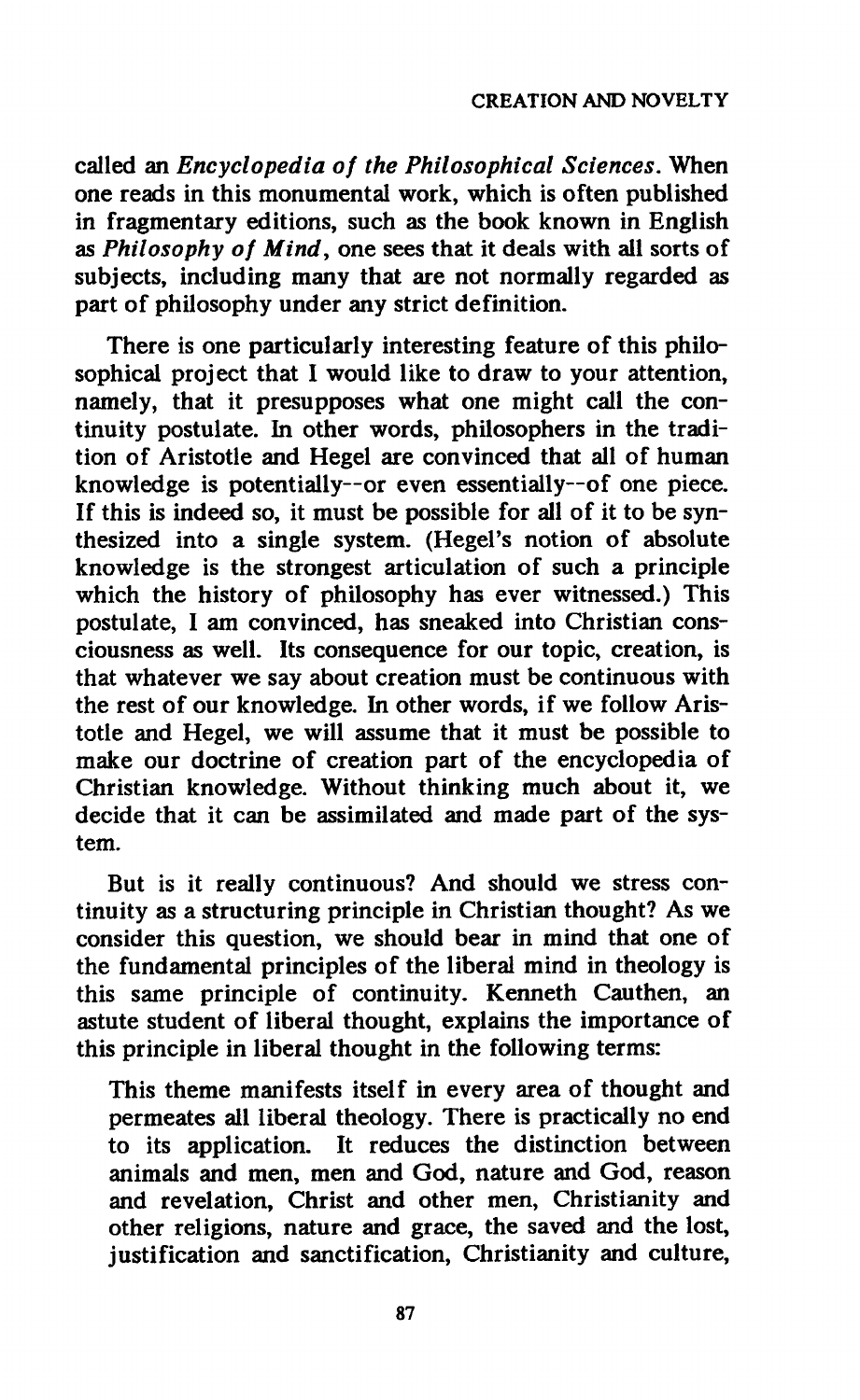**called an** *Encyclopedia of the Philosophical Sciences.* **When one reads in this monumental work, which is often published in fragmentary editions, such as the book known in English as** *Philosophy of Mind,* **one sees that it deals with all sorts of subjects, including many that are not normally regarded as part of philosophy under any strict definition.** 

**There is one particularly interesting feature of this philosophical project that I would like to draw to your attention, namely, that it presupposes what one might call the continuity postulate. In other words, philosophers in the tradition of Aristotle and Hegel are convinced that all of human knowledge is potentially—or even essentially—of one piece. If this is indeed so, it must be possible for all of it to be synthesized into a single system. (Hegel's notion of absolute knowledge is the strongest articulation of such a principle which the history of philosophy has ever witnessed.) This postulate, I am convinced, has sneaked into Christian consciousness as well. Its consequence for our topic, creation, is that whatever we say about creation must be continuous with the rest of our knowledge. In other words, if we follow Aristotle and Hegel, we will assume that it must be possible to make our doctrine of creation part of the encyclopedia of Christian knowledge. Without thinking much about it, we decide that it can be assimilated and made part of the system.** 

**But is it really continuous? And should we stress continuity as a structuring principle in Christian thought? As we consider this question, we should bear in mind that one of the fundamental principles of the liberal mind in theology is this same principle of continuity. Kenneth Cauthen, an astute student of liberal thought, explains the importance of this principle in liberal thought in the following terms:** 

**This theme manifests itself in every area of thought and permeates all liberal theology. There is practically no end to its application. It reduces the distinction between animals and men, men and God, nature and God, reason and revelation, Christ and other men, Christianity and other religions, nature and grace, the saved and the lost, justification and sanctification, Christianity and culture,**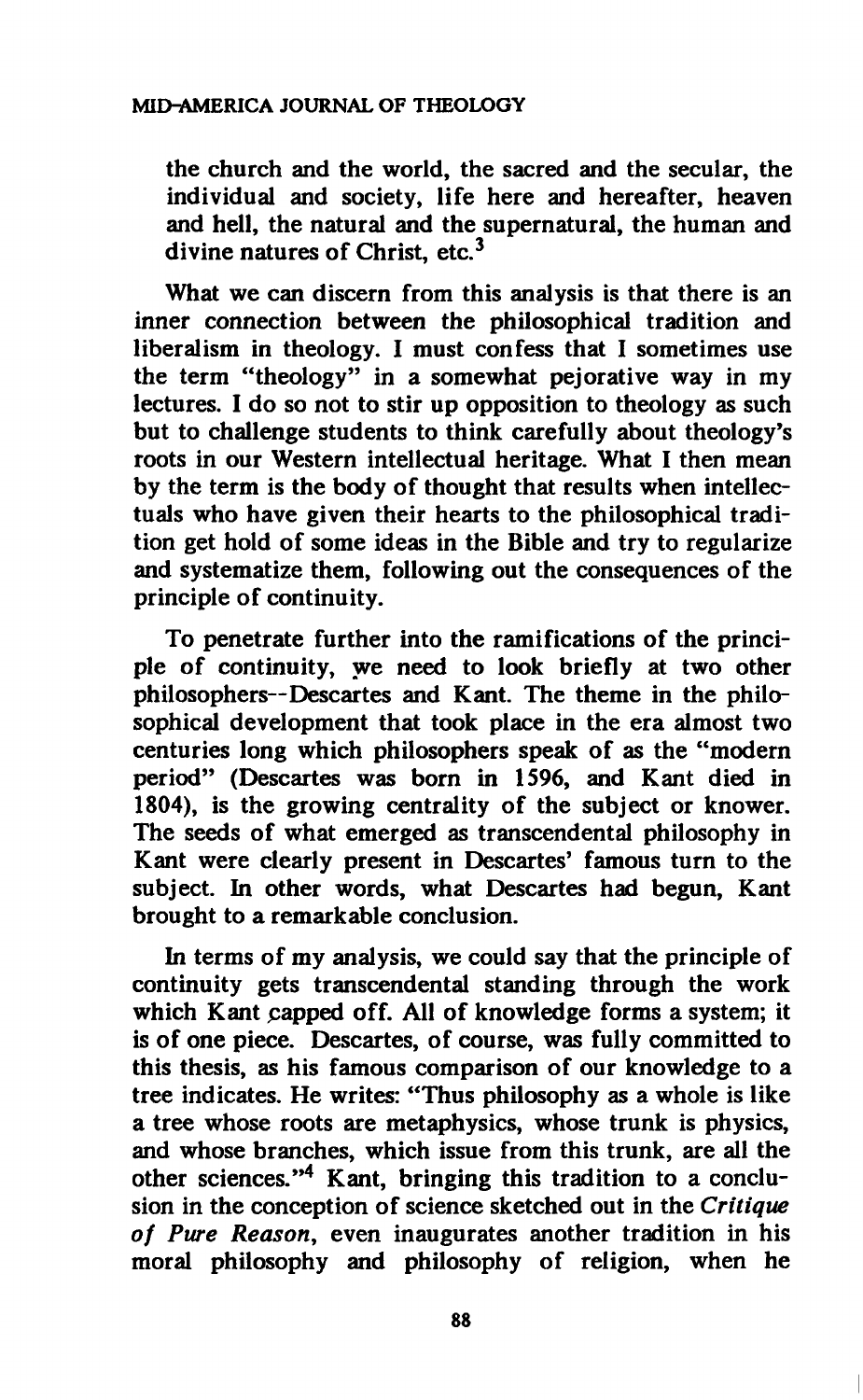**the church and the world, the sacred and the secular, the individual and society, life here and hereafter, heaven and hell, the natural and the supernatural, the human and divine natures of Christ, etc.<sup>3</sup>**

**What we can discern from this analysis is that there is an inner connection between the philosophical tradition and liberalism in theology. I must confess that I sometimes use the term "theology" in a somewhat pejorative way in my lectures. I do so not to stir up opposition to theology as such but to challenge students to think carefully about theology's roots in our Western intellectual heritage. What I then mean by the term is the body of thought that results when intellectuals who have given their hearts to the philosophical tradition get hold of some ideas in the Bible and try to regularize and systematize them, following out the consequences of the principle of continuity.** 

**To penetrate further into the ramifications of the principle of continuity, we need to look briefly at two other philosophers—Descartes and Kant. The theme in the philosophical development that took place in the era almost two centuries long which philosophers speak of as the "modern period" (Descartes was born in 1596, and Kant died in 1804), is the growing centrality of the subject or knower. The seeds of what emerged as transcendental philosophy in Kant were clearly present in Descartes' famous turn to the subject. In other words, what Descartes had begun, Kant brought to a remarkable conclusion.** 

**In terms of my analysis, we could say that the principle of continuity gets transcendental standing through the work which Kant papped off. All of knowledge forms a system; it is of one piece. Descartes, of course, was fully committed to this thesis, as his famous comparison of our knowledge to a tree indicates. He writes: "Thus philosophy as a whole is like a tree whose roots are metaphysics, whose trunk is physics, and whose branches, which issue from this trunk, are all the other sciences."<sup>4</sup> Kant, bringing this tradition to a conclusion in the conception of science sketched out in the** *Critique of Pure Reason,* **even inaugurates another tradition in his moral philosophy and philosophy of religion, when he**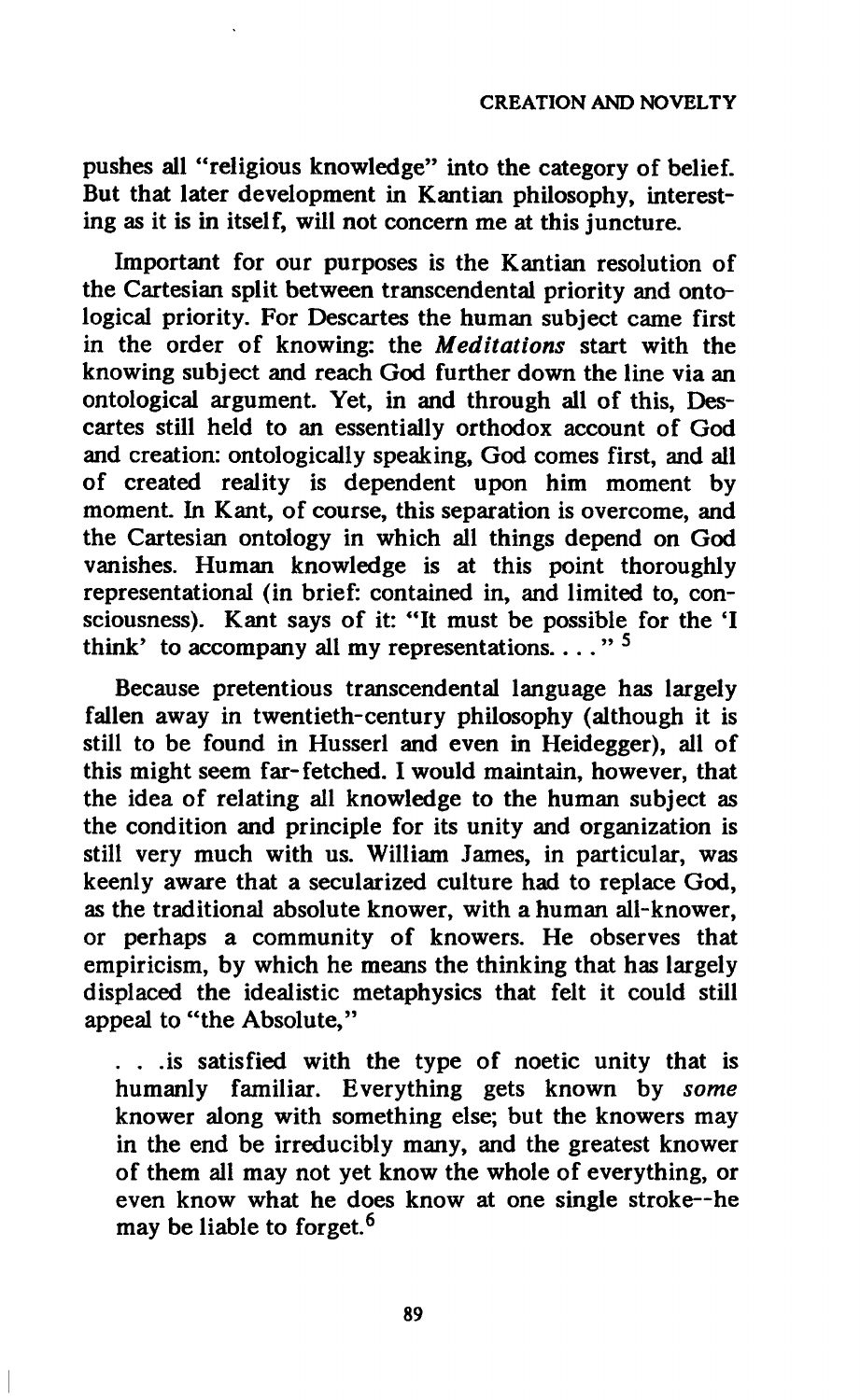**pushes all "religious knowledge" into the category of belief. But that later development in Kantian philosophy, interesting as it is in itself, will not concern me at this juncture.** 

**Important for our purposes is the Kantian resolution of the Cartesian split between transcendental priority and ontological priority. For Descartes the human subject came first in the order of knowing: the** *Meditations* **start with the knowing subject and reach God further down the line via an ontological argument. Yet, in and through all of this, Descartes still held to an essentially orthodox account of God and creation: ontologically speaking, God comes first, and all of created reality is dependent upon him moment by moment. In Kant, of course, this separation is overcome, and the Cartesian ontology in which all things depend on God vanishes. Human knowledge is at this point thoroughly representational (in brief: contained in, and limited to, con**sciousness). Kant says of it: "It must be possible for the 'I **think' to accompany all my representations.. . . " <sup>5</sup>**

**Because pretentious transcendental language has largely fallen away in twentieth-century philosophy (although it is still to be found in Husserl and even in Heidegger), all of this might seem far-fetched. I would maintain, however, that the idea of relating all knowledge to the human subject as the condition and principle for its unity and organization is still very much with us. William James, in particular, was keenly aware that a secularized culture had to replace God, as the traditional absolute knower, with a human all-knower, or perhaps a community of knowers. He observes that empiricism, by which he means the thinking that has largely displaced the idealistic metaphysics that felt it could still appeal to "the Absolute,"** 

**. . .is satisfied with the type of noetic unity that is humanly familiar. Everything gets known by** *some*  **knower along with something else; but the knowers may in the end be irreducibly many, and the greatest knower of them all may not yet know the whole of everything, or even know what he does know at one single stroke—he may be liable to forget.<sup>6</sup>**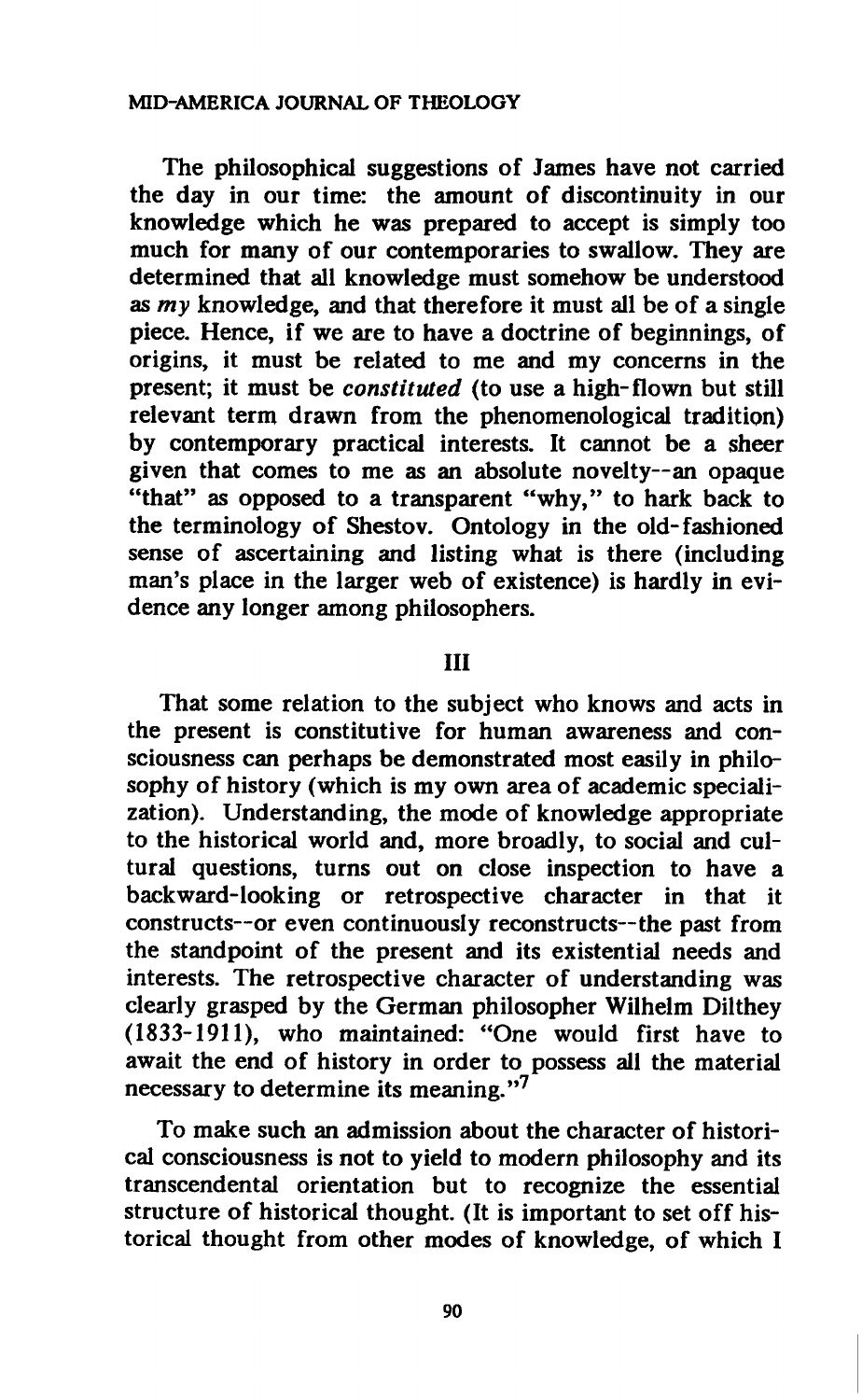#### **MID-AMERICA JOURNAL OF THEOLOGY**

**The philosophical suggestions of James have not carried the day in our time: the amount of discontinuity in our knowledge which he was prepared to accept is simply too much for many of our contemporaries to swallow. They are determined that all knowledge must somehow be understood as** *my* **knowledge, and that therefore it must all be of a single piece. Hence, if we are to have a doctrine of beginnings, of origins, it must be related to me and my concerns in the present; it must be** *constituted* **(to use a high-flown but still relevant term drawn from the phenomenological tradition) by contemporary practical interests. It cannot be a sheer given that comes to me as an absolute novelty—an opaque "that" as opposed to a transparent "why," to hark back to the terminology of Shestov. Ontology in the old-fashioned sense of ascertaining and listing what is there (including man's place in the larger web of existence) is hardly in evidence any longer among philosophers.** 

## **Ill**

**That some relation to the subject who knows and acts in the present is constitutive for human awareness and consciousness can perhaps be demonstrated most easily in philosophy of history (which is my own area of academic specialization). Understanding, the mode of knowledge appropriate to the historical world and, more broadly, to social and cultural questions, turns out on close inspection to have a backward-looking or retrospective character in that it constructs—or even continuously reconstructs—the past from the standpoint of the present and its existential needs and interests. The retrospective character of understanding was clearly grasped by the German philosopher Wilhelm Dilthey (1833-1911), who maintained: "One would first have to await the end of history in order to possess all the material necessary to determine its meaning."<sup>7</sup>**

**To make such an admission about the character of historical consciousness is not to yield to modern philosophy and its transcendental orientation but to recognize the essential structure of historical thought. (It is important to set off historical thought from other modes of knowledge, of which I** 

**90**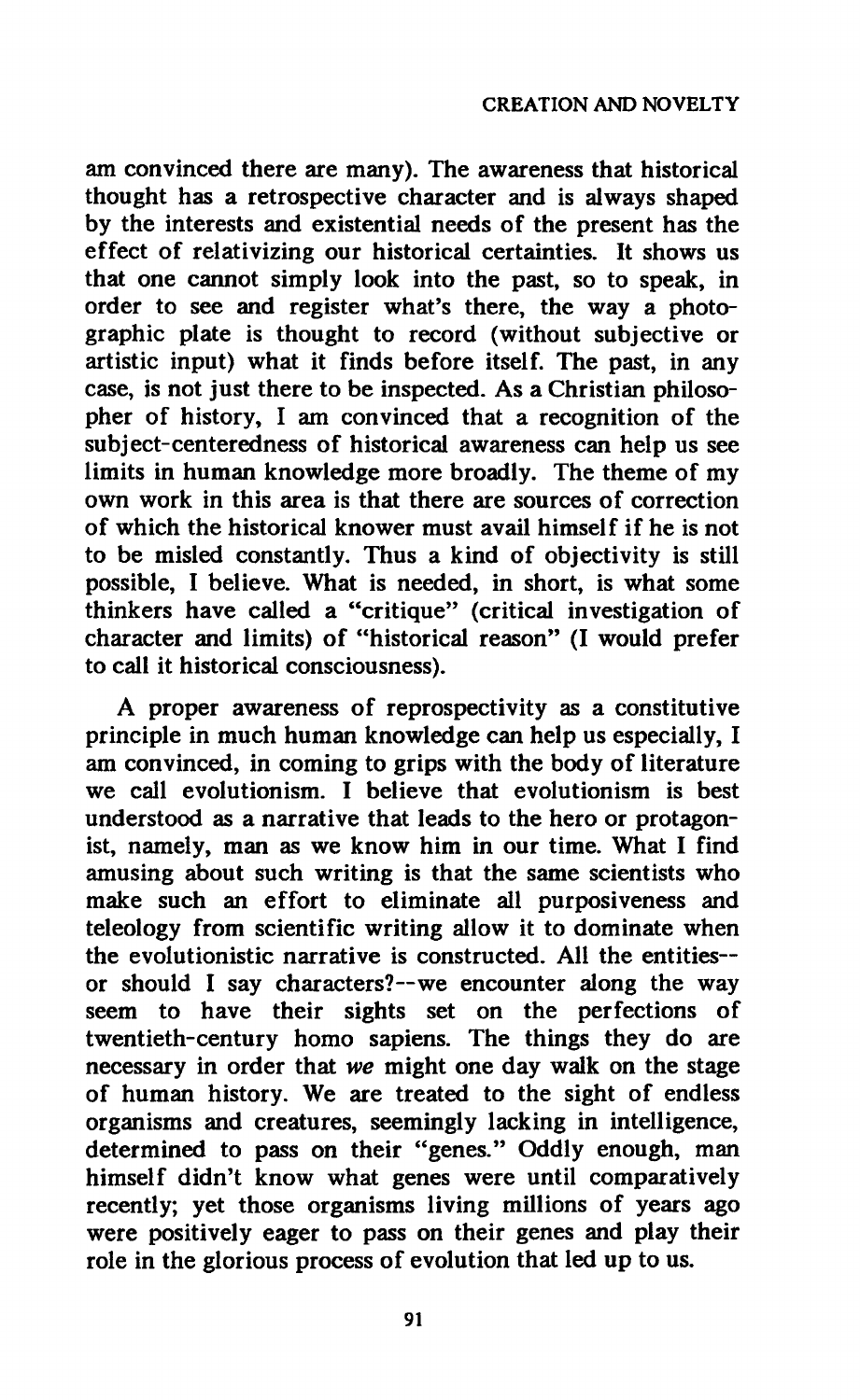**am convinced there are many). The awareness that historical thought has a retrospective character and is always shaped by the interests and existential needs of the present has the effect of relativizing our historical certainties. It shows us that one cannot simply look into the past, so to speak, in order to see and register what's there, the way a photographic plate is thought to record (without subjective or artistic input) what it finds before itself. The past, in any case, is not just there to be inspected. As a Christian philosopher of history, I am convinced that a recognition of the subject-centeredness of historical awareness can help us see limits in human knowledge more broadly. The theme of my own work in this area is that there are sources of correction of which the historical knower must avail himself if he is not to be misled constantly. Thus a kind of objectivity is still possible, I believe. What is needed, in short, is what some thinkers have called a "critique" (critical investigation of character and limits) of "historical reason" (I would prefer to call it historical consciousness).** 

**A proper awareness of reprospectivity as a constitutive principle in much human knowledge can help us especially, I am convinced, in coming to grips with the body of literature we call evolutionism. I believe that evolutionism is best understood as a narrative that leads to the hero or protagonist, namely, man as we know him in our time. What I find amusing about such writing is that the same scientists who make such an effort to eliminate all purposiveness and teleology from scientific writing allow it to dominate when the evolutionistic narrative is constructed. All the entities or should I say characters?—we encounter along the way seem to have their sights set on the perfections of twentieth-century homo sapiens. The things they do are necessary in order that** *we* **might one day walk on the stage of human history. We are treated to the sight of endless organisms and creatures, seemingly lacking in intelligence, determined to pass on their "genes." Oddly enough, man himself didn't know what genes were until comparatively recently; yet those organisms living millions of years ago were positively eager to pass on their genes and play their role in the glorious process of evolution that led up to us.**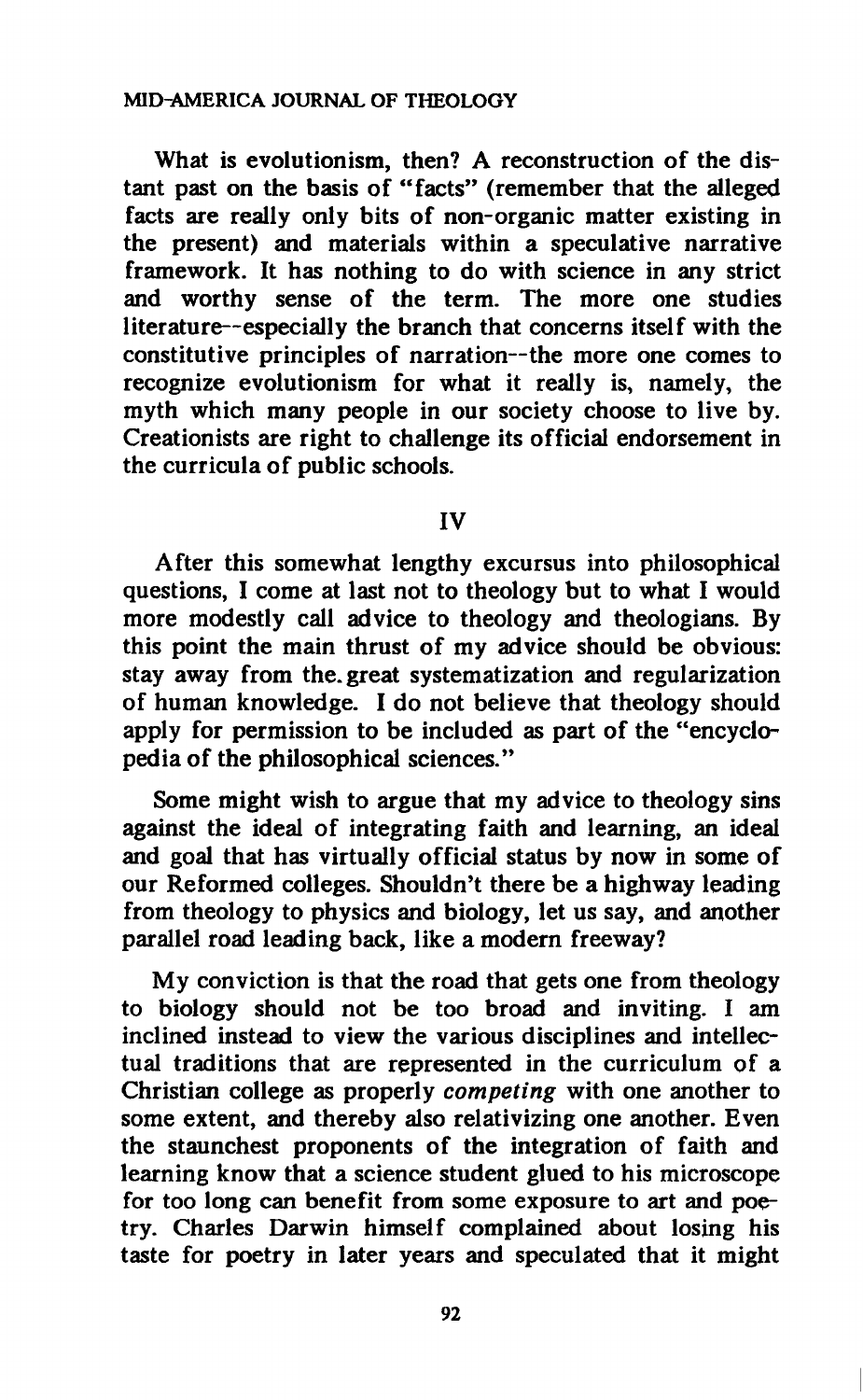#### **MID-AMERICA JOURNAL OF THEOLOGY**

**What is evolutionism, then? A reconstruction of the distant past on the basis of "facts" (remember that the alleged facts are really only bits of non-organic matter existing in the present) and materials within a speculative narrative framework. It has nothing to do with science in any strict and worthy sense of the term. The more one studies literature—especially the branch that concerns itself with the constitutive principles of narration—the more one comes to recognize evolutionism for what it really is, namely, the myth which many people in our society choose to live by. Creationists are right to challenge its official endorsement in the curricula of public schools.** 

#### **IV**

**After this somewhat lengthy excursus into philosophical questions, I come at last not to theology but to what I would more modestly call advice to theology and theologians. By this point the main thrust of my advice should be obvious: stay away from the. great systematization and regularization of human knowledge. I do not believe that theology should apply for permission to be included as part of the "encyclopedia of the philosophical sciences."** 

**Some might wish to argue that my advice to theology sins against the ideal of integrating faith and learning, an ideal and goal that has virtually official status by now in some of our Reformed colleges. Shouldn't there be a highway leading from theology to physics and biology, let us say, and another parallel road leading back, like a modern freeway?** 

**My conviction is that the road that gets one from theology to biology should not be too broad and inviting. I am inclined instead to view the various disciplines and intellectual traditions that are represented in the curriculum of a Christian college as properly** *competing* **with one another to some extent, and thereby also relativizing one another. Even the staunchest proponents of the integration of faith and learning know that a science student glued to his microscope for too long can benefit from some exposure to art and poetry. Charles Darwin himself complained about losing his taste for poetry in later years and speculated that it might**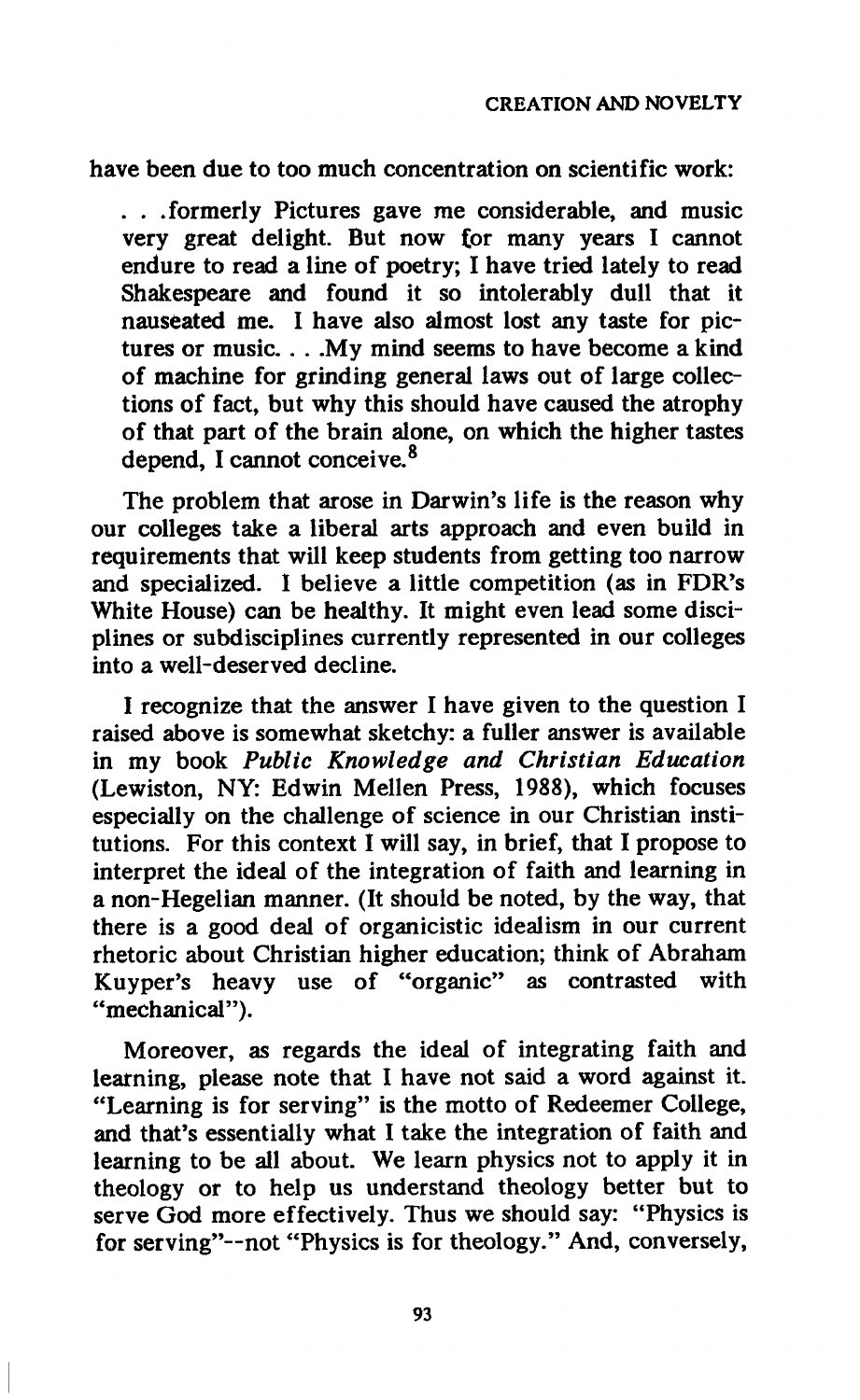**have been due to too much concentration on scientific work:** 

**. . .formerly Pictures gave me considerable, and music very great delight. But now for many years I cannot endure to read a line of poetry; I have tried lately to read Shakespeare and found it so intolerably dull that it nauseated me. I have also almost lost any taste for pictures or music. . . .My mind seems to have become a kind of machine for grinding general laws out of large collections of fact, but why this should have caused the atrophy of that part of the brain alone, on which the higher tastes depend, I cannot conceive.<sup>8</sup>**

**The problem that arose in Darwin's life is the reason why our colleges take a liberal arts approach and even build in requirements that will keep students from getting too narrow and specialized. I believe a little competition (as in FDR's White House) can be healthy. It might even lead some disciplines or subdisciplines currently represented in our colleges into a well-deserved decline.** 

**I recognize that the answer I have given to the question I raised above is somewhat sketchy: a fuller answer is available in my book** *Public Knowledge and Christian Education*  **(Lewiston, NY: Edwin Mellen Press, 1988), which focuses especially on the challenge of science in our Christian institutions. For this context I will say, in brief, that I propose to interpret the ideal of the integration of faith and learning in a non-Hegelian manner. (It should be noted, by the way, that there is a good deal of organicistic idealism in our current rhetoric about Christian higher education; think of Abraham Kuyper's heavy use of "organic" as contrasted with "mechanical").** 

**Moreover, as regards the ideal of integrating faith and learning, please note that I have not said a word against it. "Learning is for serving" is the motto of Redeemer College, and that's essentially what I take the integration of faith and learning to be all about. We learn physics not to apply it in theology or to help us understand theology better but to serve God more effectively. Thus we should say: "Physics is for serving"—not "Physics is for theology." And, conversely,**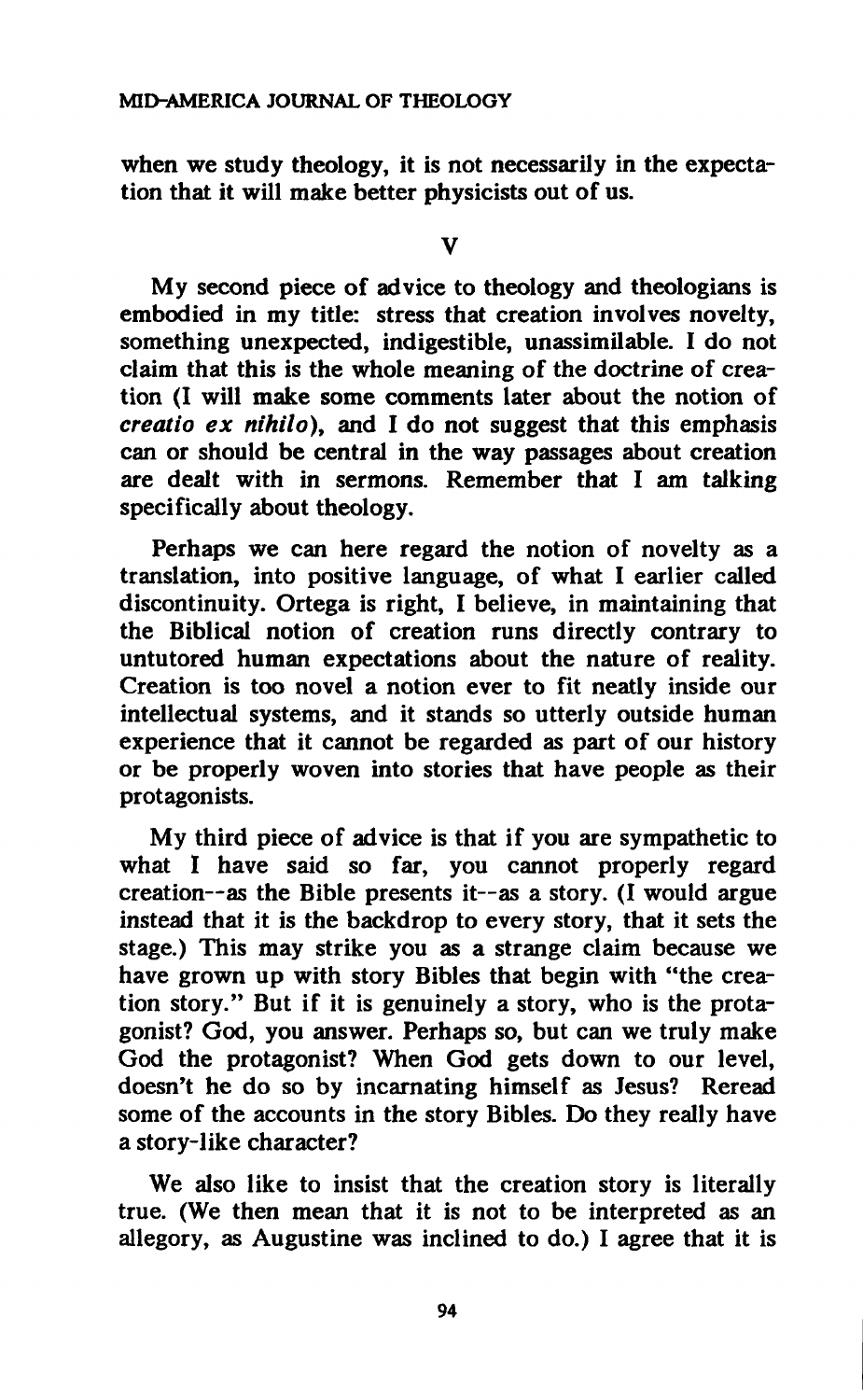**when we study theology, it is not necessarily in the expectation that it will make better physicists out of us.** 

**V** 

**My second piece of advice to theology and theologians is embodied in my title: stress that creation involves novelty, something unexpected, indigestible, unassimilable. I do not claim that this is the whole meaning of the doctrine of creation (I will make some comments later about the notion of**  *creatio ex nihilo),* **and I do not suggest that this emphasis can or should be central in the way passages about creation are dealt with in sermons. Remember that I am talking specifically about theology.** 

**Perhaps we can here regard the notion of novelty as a translation, into positive language, of what I earlier called discontinuity. Ortega is right, I believe, in maintaining that the Biblical notion of creation runs directly contrary to untutored human expectations about the nature of reality. Creation is too novel a notion ever to fit neatly inside our intellectual systems, and it stands so utterly outside human experience that it cannot be regarded as part of our history or be properly woven into stories that have people as their protagonists.** 

**My third piece of advice is that if you are sympathetic to what I have said so far, you cannot properly regard creation—as the Bible presents it—as a story. (I would argue instead that it is the backdrop to every story, that it sets the stage.) This may strike you as a strange claim because we have grown up with story Bibles that begin with "the creation story." But if it is genuinely a story, who is the protagonist? God, you answer. Perhaps so, but can we truly make God the protagonist? When God gets down to our level, doesn't he do so by incarnating himself as Jesus? Reread some of the accounts in the story Bibles. Do they really have a story-like character?** 

**We also like to insist that the creation story is literally true. (We then mean that it is not to be interpreted as an allegory, as Augustine was inclined to do.) I agree that it is**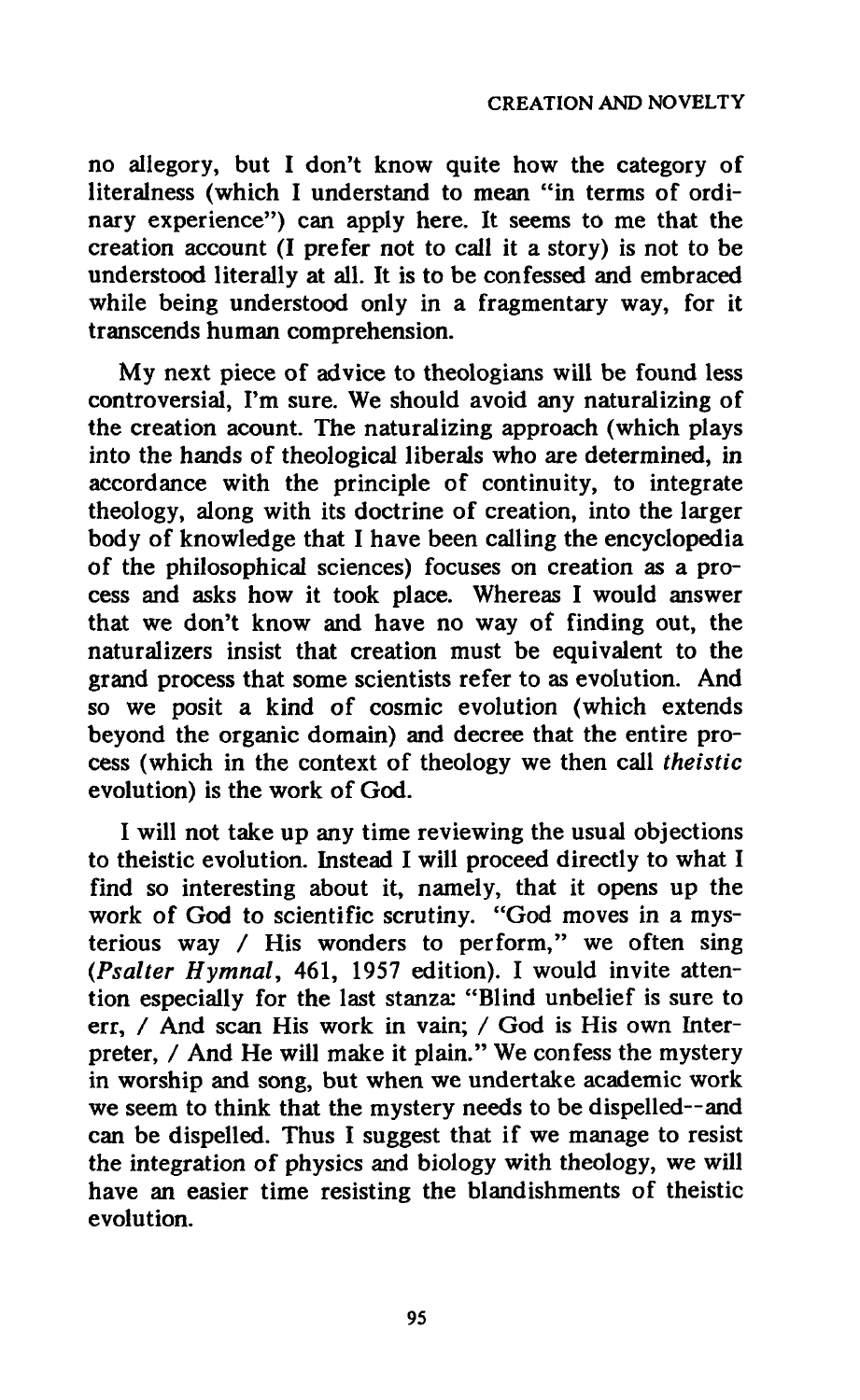**no allegory, but I don't know quite how the category of literalness (which I understand to mean "in terms of ordinary experience") can apply here. It seems to me that the creation account (I prefer not to call it a story) is not to be understood literally at all. It is to be confessed and embraced while being understood only in a fragmentary way, for it transcends human comprehension.** 

**My next piece of advice to theologians will be found less controversial, I'm sure. We should avoid any naturalizing of the creation acount. The naturalizing approach (which plays into the hands of theological liberals who are determined, in accordance with the principle of continuity, to integrate theology, along with its doctrine of creation, into the larger body of knowledge that I have been calling the encyclopedia of the philosophical sciences) focuses on creation as a process and asks how it took place. Whereas I would answer that we don't know and have no way of finding out, the naturalizers insist that creation must be equivalent to the grand process that some scientists refer to as evolution. And so we posit a kind of cosmic evolution (which extends beyond the organic domain) and decree that the entire process (which in the context of theology we then call** *theistic*  **evolution) is the work of God.** 

**I will not take up any time reviewing the usual objections to theistic evolution. Instead I will proceed directly to what I find so interesting about it, namely, that it opens up the work of God to scientific scrutiny. "God moves in a mysterious way / His wonders to perform," we often sing**  *(Psalter Hymnal,* **461, 1957 edition). I would invite attention especially for the last stanza: "Blind unbelief is sure to err, / And scan His work in vain; / God is His own Interpreter, / And He will make it plain." We confess the mystery in worship and song, but when we undertake academic work we seem to think that the mystery needs to be dispelled—and can be dispelled. Thus I suggest that if we manage to resist the integration of physics and biology with theology, we will have an easier time resisting the blandishments of theistic evolution.**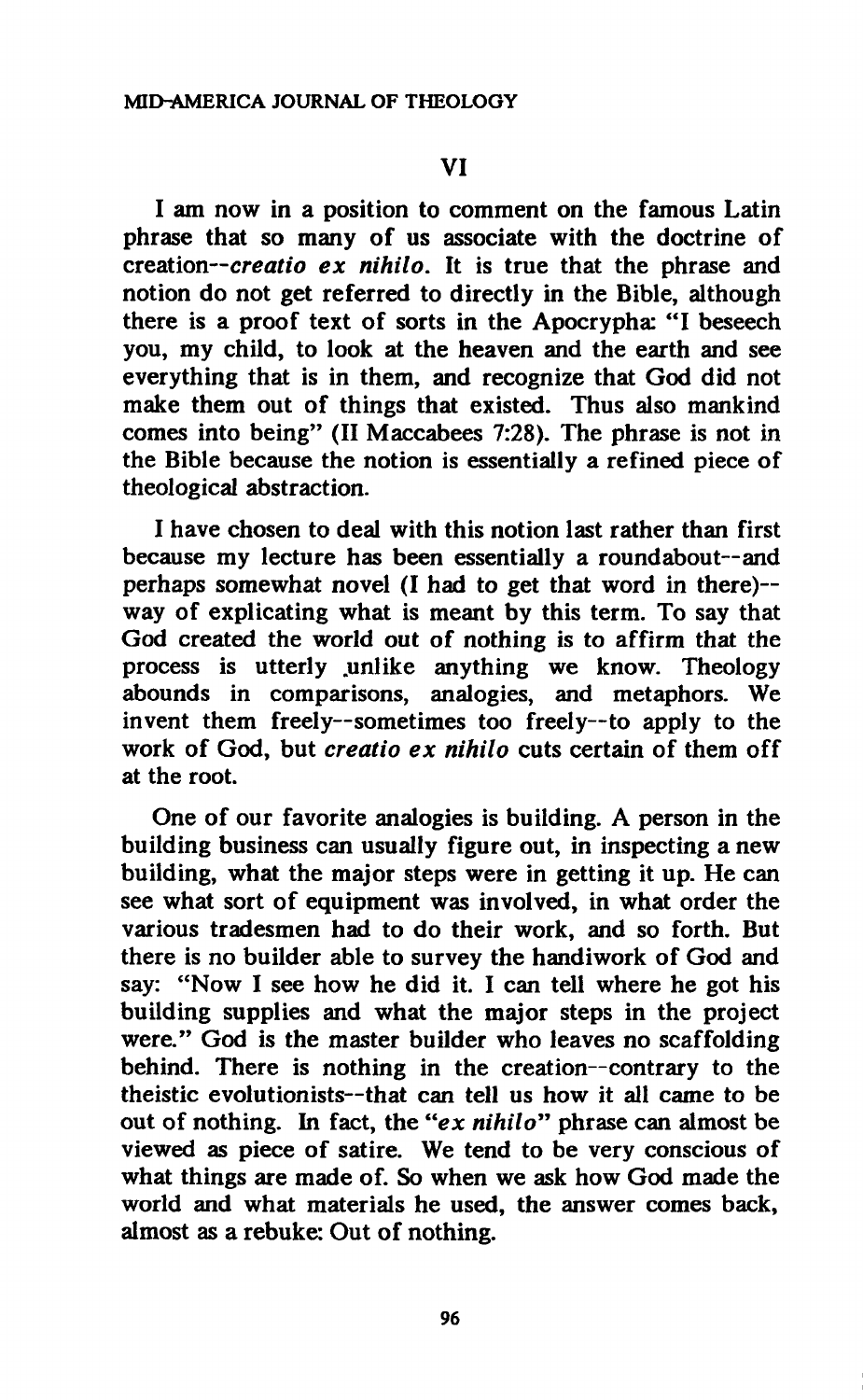# **VI**

**I am now in a position to comment on the famous Latin phrase that so many of us associate with the doctrine of creation—***creatio ex nihilo.* **It is true that the phrase and notion do not get referred to directly in the Bible, although there is a proof text of sorts in the Apocrypha: "I beseech you, my child, to look at the heaven and the earth and see everything that is in them, and recognize that God did not make them out of things that existed. Thus also mankind comes into being" (II Maccabees 7:28). The phrase is not in the Bible because the notion is essentially a refined piece of theological abstraction.** 

**I have chosen to deal with this notion last rather than first because my lecture has been essentially a roundabout—and perhaps somewhat novel (I had to get that word in there) way of explicating what is meant by this term. To say that God created the world out of nothing is to affirm that the process is utterly .unlike anything we know. Theology abounds in comparisons, analogies, and metaphors. We invent them freely—sometimes too freely—to apply to the work of God, but** *creatio ex nihilo* **cuts certain of them off at the root.** 

**One of our favorite analogies is building. A person in the building business can usually figure out, in inspecting a new building, what the major steps were in getting it up. He can see what sort of equipment was involved, in what order the various tradesmen had to do their work, and so forth. But there is no builder able to survey the handiwork of God and say: "Now I see how he did it. I can tell where he got his building supplies and what the major steps in the project were." God is the master builder who leaves no scaffolding behind. There is nothing in the creation—contrary to the theistic evolutionists—that can tell us how it all came to be out of nothing. In fact, the "ex** *nihilo"* **phrase can almost be viewed as piece of satire. We tend to be very conscious of what things are made of. So when we ask how God made the world and what materials he used, the answer comes back, almost as a rebuke: Out of nothing.**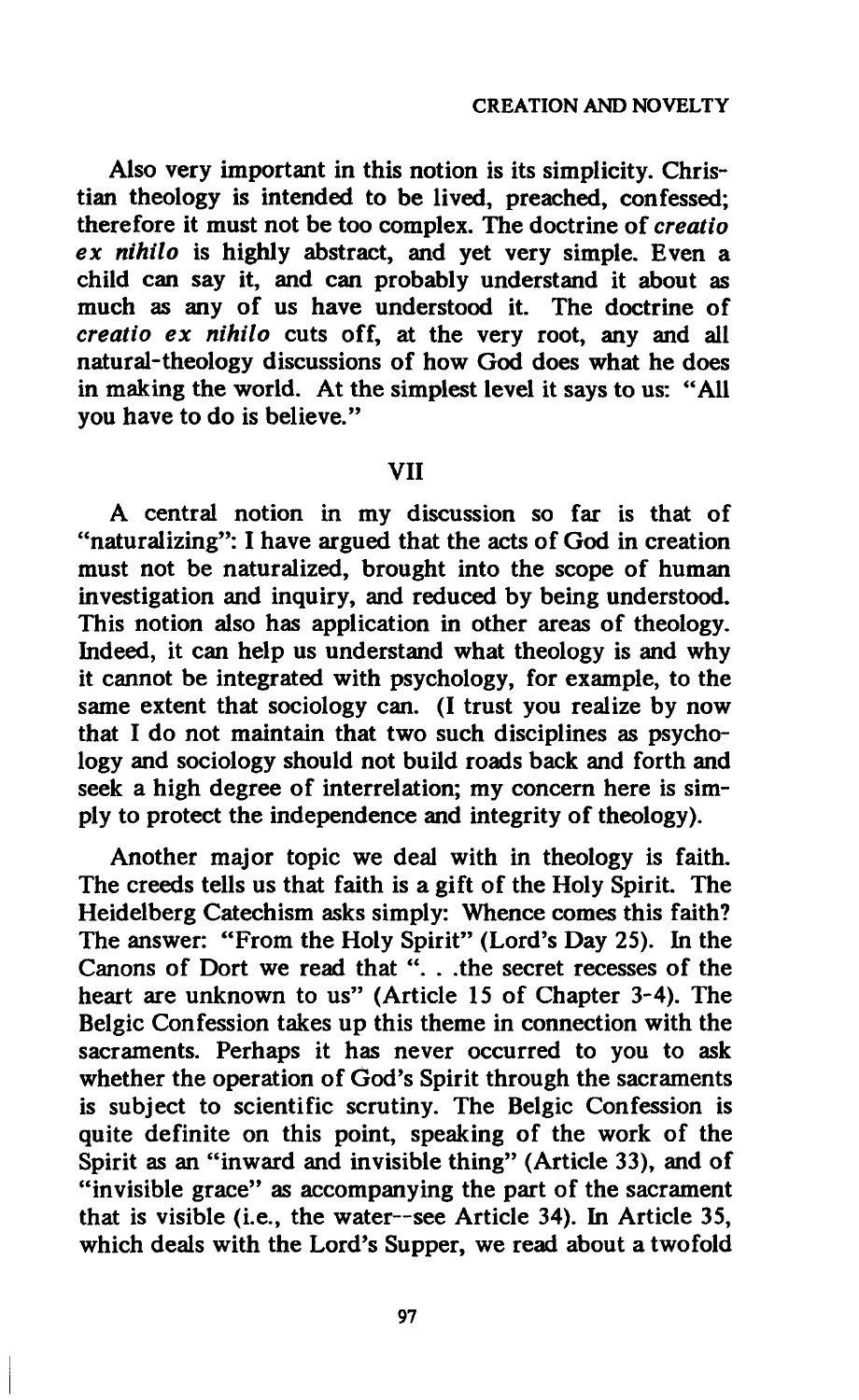**Also very important in this notion is its simplicity. Christian theology is intended to be lived, preached, confessed; therefore it must not be too complex. The doctrine of** *creatio ex nihilo* **is highly abstract, and yet very simple. Even a child can say it, and can probably understand it about as much as any of us have understood it. The doctrine of**  *creatio ex nihilo* **cuts off, at the very root, any and all natural-theology discussions of how God does what he does in making the world. At the simplest level it says to us: "All you have to do is believe."** 

## **VII**

**A central notion in my discussion so far is that of "naturalizing": I have argued that the acts of God in creation must not be naturalized, brought into the scope of human investigation and inquiry, and reduced by being understood. This notion also has application in other areas of theology. Indeed, it can help us understand what theology is and why it cannot be integrated with psychology, for example, to the same extent that sociology can. (I trust you realize by now that I do not maintain that two such disciplines as psychology and sociology should not build roads back and forth and seek a high degree of interrelation; my concern here is simply to protect the independence and integrity of theology).** 

**Another major topic we deal with in theology is faith. The creeds tells us that faith is a gift of the Holy Spirit. The Heidelberg Catechism asks simply: Whence comes this faith? The answer: "From the Holy Spirit" (Lord's Day 25). In the Canons of Dort we read that ". . .the secret recesses of the heart are unknown to us" (Article 15 of Chapter 3-4). The Belgic Confession takes up this theme in connection with the sacraments. Perhaps it has never occurred to you to ask whether the operation of God's Spirit through the sacraments is subject to scientific scrutiny. The Belgic Confession is quite definite on this point, speaking of the work of the Spirit as an "inward and invisible thing" (Article 33), and of "invisible grace" as accompanying the part of the sacrament that is visible (i.e., the water—see Article 34). In Article 35, which deals with the Lord's Supper, we read about a twofold**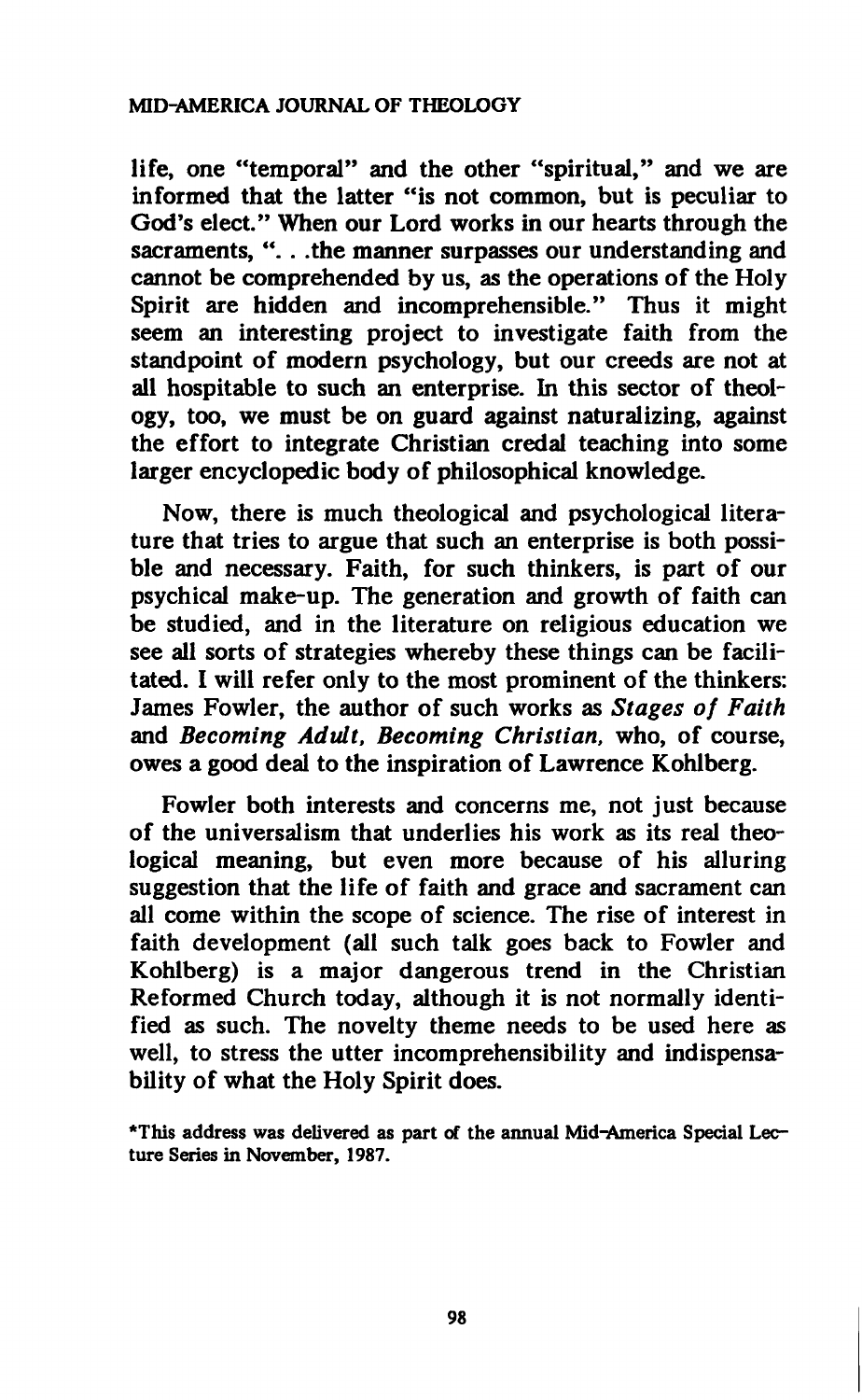# **MID-AMERICA JOURNAL OF THEOLOGY**

**life, one "temporal" and the other "spiritual," and we are informed that the latter "is not common, but is peculiar to God's elect." When our Lord works in our hearts through the sacraments, ". . .the manner surpasses our understanding and cannot be comprehended by us, as the operations of the Holy Spirit are hidden and incomprehensible." Thus it might seem an interesting project to investigate faith from the standpoint of modern psychology, but our creeds are not at all hospitable to such an enterprise. In this sector of theology, too, we must be on guard against naturalizing, against the effort to integrate Christian credal teaching into some larger encyclopedic body of philosophical knowledge.** 

**Now, there is much theological and psychological literature that tries to argue that such an enterprise is both possible and necessary. Faith, for such thinkers, is part of our psychical make-up. The generation and growth of faith can be studied, and in the literature on religious education we see all sorts of strategies whereby these things can be facilitated. I will refer only to the most prominent of the thinkers: James Fowler, the author of such works as** *Stages of Faith*  **and** *Becoming Adult, Becoming Christian,* **who, of course, owes a good deal to the inspiration of Lawrence Kohlberg.** 

**Fowler both interests and concerns me, not just because of the universalism that underlies his work as its real theological meaning, but even more because of his alluring suggestion that the life of faith and grace and sacrament can all come within the scope of science. The rise of interest in faith development (all such talk goes back to Fowler and Kohlberg) is a major dangerous trend in the Christian Reformed Church today, although it is not normally identified as such. The novelty theme needs to be used here as well, to stress the utter incomprehensibility and indispensability of what the Holy Spirit does.** 

\*This address was delivered as part of the annual Mid-America Special Lecture Series in November, 1987.